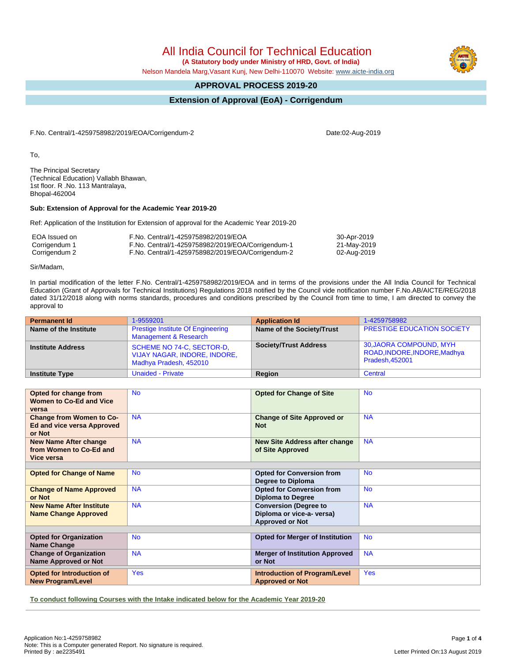All India Council for Technical Education

 **(A Statutory body under Ministry of HRD, Govt. of India)**

Nelson Mandela Marg,Vasant Kunj, New Delhi-110070 Website: [www.aicte-india.org](http://www.aicte-india.org)

## **APPROVAL PROCESS 2019-20**

## **Extension of Approval (EoA) - Corrigendum**

F.No. Central/1-4259758982/2019/EOA/Corrigendum-2

To,

The Principal Secretary (Technical Education) Vallabh Bhawan, 1st floor. R .No. 113 Mantralaya, Bhopal-462004

### **Sub: Extension of Approval for the Academic Year 2019-20**

Ref: Application of the Institution for Extension of approval for the Academic Year 2019-20

| EOA Issued on | F.No. Central/1-4259758982/2019/EOA               | 30-Apr-2019 |
|---------------|---------------------------------------------------|-------------|
| Corrigendum 1 | F.No. Central/1-4259758982/2019/EOA/Corrigendum-1 | 21-May-2019 |
| Corrigendum 2 | F.No. Central/1-4259758982/2019/EOA/Corrigendum-2 | 02-Aug-2019 |

Sir/Madam,

In partial modification of the letter F.No. Central/1-4259758982/2019/EOA and in terms of the provisions under the All India Council for Technical Education (Grant of Approvals for Technical Institutions) Regulations 2018 notified by the Council vide notification number F.No.AB/AICTE/REG/2018 dated 31/12/2018 along with norms standards, procedures and conditions prescribed by the Council from time to time, I am directed to convey the approval to

| <b>Permanent Id</b>      | 1-9559201                                                                           | <b>Application Id</b>        | 1-4259758982                                                              |
|--------------------------|-------------------------------------------------------------------------------------|------------------------------|---------------------------------------------------------------------------|
| Name of the Institute    | <b>Prestige Institute Of Engineering</b><br>Management & Research                   | Name of the Society/Trust    | <b>PRESTIGE EDUCATION SOCIETY</b>                                         |
| <b>Institute Address</b> | SCHEME NO 74-C, SECTOR-D,<br>VIJAY NAGAR, INDORE, INDORE,<br>Madhya Pradesh, 452010 | <b>Society/Trust Address</b> | 30, JAORA COMPOUND, MYH<br>ROAD, INDORE, INDORE, Madhya<br>Pradesh.452001 |
| <b>Institute Type</b>    | <b>Unaided - Private</b>                                                            | Region                       | Central                                                                   |

| Opted for change from<br><b>Women to Co-Ed and Vice</b><br>versa               | <b>No</b>  | <b>Opted for Change of Site</b>                                                     | <b>No</b>  |
|--------------------------------------------------------------------------------|------------|-------------------------------------------------------------------------------------|------------|
| <b>Change from Women to Co-</b><br><b>Ed and vice versa Approved</b><br>or Not | <b>NA</b>  | <b>Change of Site Approved or</b><br><b>Not</b>                                     | <b>NA</b>  |
| <b>New Name After change</b><br>from Women to Co-Ed and<br>Vice versa          | <b>NA</b>  | <b>New Site Address after change</b><br>of Site Approved                            | <b>NA</b>  |
|                                                                                |            |                                                                                     |            |
| <b>Opted for Change of Name</b>                                                | <b>No</b>  | <b>Opted for Conversion from</b><br>Degree to Diploma                               | <b>No</b>  |
| <b>Change of Name Approved</b><br>or Not                                       | <b>NA</b>  | <b>Opted for Conversion from</b><br><b>Diploma to Degree</b>                        | <b>No</b>  |
| <b>New Name After Institute</b><br><b>Name Change Approved</b>                 | <b>NA</b>  | <b>Conversion (Degree to</b><br>Diploma or vice-a- versa)<br><b>Approved or Not</b> | <b>NA</b>  |
|                                                                                |            |                                                                                     |            |
| <b>Opted for Organization</b><br><b>Name Change</b>                            | <b>No</b>  | <b>Opted for Merger of Institution</b>                                              | <b>No</b>  |
| <b>Change of Organization</b><br><b>Name Approved or Not</b>                   | <b>NA</b>  | <b>Merger of Institution Approved</b><br>or Not                                     | <b>NA</b>  |
| Opted for Introduction of<br><b>New Program/Level</b>                          | <b>Yes</b> | <b>Introduction of Program/Level</b><br><b>Approved or Not</b>                      | <b>Yes</b> |

**To conduct following Courses with the Intake indicated below for the Academic Year 2019-20**



Letter Printed On:13 August 2019

Date:02-Aug-2019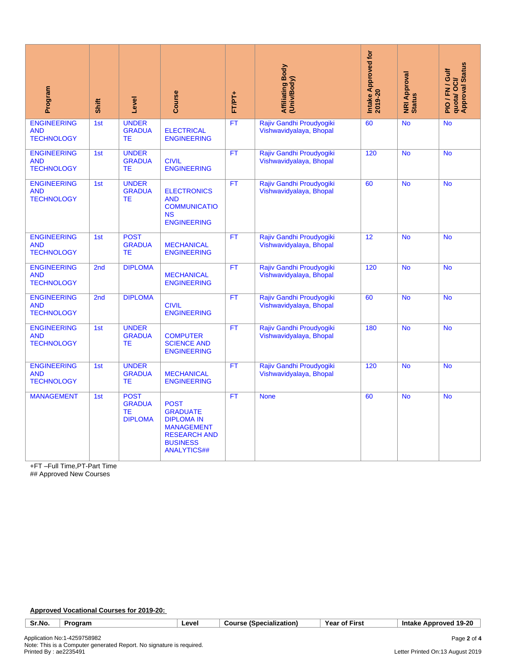| Program                                                                                                                      | Shift           | Level                                                | Course                                                                                                                                   | FT/PT+    | <b>Affiliating Body</b><br>(Univ/Body)              | Intake Approved for<br>2019-20 | <b>NRI Approval</b><br>Status | quota/ OCI/<br>Approval Status<br>PIO/FN/Gulf   |
|------------------------------------------------------------------------------------------------------------------------------|-----------------|------------------------------------------------------|------------------------------------------------------------------------------------------------------------------------------------------|-----------|-----------------------------------------------------|--------------------------------|-------------------------------|-------------------------------------------------|
| <b>ENGINEERING</b><br><b>AND</b><br><b>TECHNOLOGY</b>                                                                        | 1st             | <b>UNDER</b><br><b>GRADUA</b><br>TЕ                  | <b>ELECTRICAL</b><br><b>ENGINEERING</b>                                                                                                  | <b>FT</b> | Rajiv Gandhi Proudyogiki<br>Vishwavidyalaya, Bhopal | 60                             | <b>No</b>                     | <b>No</b>                                       |
| <b>ENGINEERING</b><br><b>AND</b><br><b>TECHNOLOGY</b>                                                                        | 1st             | <b>UNDER</b><br><b>GRADUA</b><br>TE                  | <b>CIVIL</b><br><b>ENGINEERING</b>                                                                                                       | FT        | Rajiv Gandhi Proudyogiki<br>Vishwavidyalaya, Bhopal | 120                            | <b>No</b>                     | <b>No</b>                                       |
| <b>ENGINEERING</b><br><b>AND</b><br><b>TECHNOLOGY</b>                                                                        | 1st             | <b>UNDER</b><br><b>GRADUA</b><br>TE                  | <b>ELECTRONICS</b><br><b>AND</b><br><b>COMMUNICATIO</b><br><b>NS</b><br><b>ENGINEERING</b>                                               | <b>FT</b> | Rajiv Gandhi Proudyogiki<br>Vishwavidyalaya, Bhopal | 60                             | <b>No</b>                     | <b>No</b>                                       |
| <b>ENGINEERING</b><br><b>AND</b><br><b>TECHNOLOGY</b>                                                                        | 1st             | <b>POST</b><br><b>GRADUA</b><br>ТE                   | <b>MECHANICAL</b><br><b>ENGINEERING</b>                                                                                                  | <b>FT</b> | Rajiv Gandhi Proudyogiki<br>Vishwavidyalaya, Bhopal | 12                             | <b>No</b>                     | <b>No</b>                                       |
| <b>ENGINEERING</b><br><b>AND</b><br><b>TECHNOLOGY</b>                                                                        | 2 <sub>nd</sub> | <b>DIPLOMA</b>                                       | <b>MECHANICAL</b><br><b>ENGINEERING</b>                                                                                                  | <b>FT</b> | Rajiv Gandhi Proudyogiki<br>Vishwavidyalaya, Bhopal | 120                            | <b>No</b>                     | <b>No</b>                                       |
| <b>ENGINEERING</b><br><b>AND</b><br><b>TECHNOLOGY</b>                                                                        | 2 <sub>nd</sub> | <b>DIPLOMA</b>                                       | <b>CIVIL</b><br><b>ENGINEERING</b>                                                                                                       | <b>FT</b> | Rajiv Gandhi Proudyogiki<br>Vishwavidyalaya, Bhopal | 60                             | <b>No</b>                     | <b>No</b>                                       |
| <b>ENGINEERING</b><br><b>AND</b><br><b>TECHNOLOGY</b>                                                                        | 1st             | <b>UNDER</b><br><b>GRADUA</b><br><b>TE</b>           | <b>COMPUTER</b><br><b>SCIENCE AND</b><br><b>ENGINEERING</b>                                                                              | <b>FT</b> | Rajiv Gandhi Proudyogiki<br>Vishwavidyalaya, Bhopal | 180                            | <b>No</b>                     | <b>No</b>                                       |
| <b>ENGINEERING</b><br><b>AND</b><br><b>TECHNOLOGY</b>                                                                        | 1st             | <b>UNDER</b><br><b>GRADUA</b><br>ТE                  | <b>MECHANICAL</b><br><b>ENGINEERING</b>                                                                                                  | <b>FT</b> | Rajiv Gandhi Proudyogiki<br>Vishwavidyalaya, Bhopal | 120                            | <b>No</b>                     | <b>No</b>                                       |
| <b>MANAGEMENT</b>                                                                                                            | 1st             | <b>POST</b><br><b>GRADUA</b><br>ТE<br><b>DIPLOMA</b> | <b>POST</b><br><b>GRADUATE</b><br><b>DIPLOMA IN</b><br><b>MANAGEMENT</b><br><b>RESEARCH AND</b><br><b>BUSINESS</b><br><b>ANALYTICS##</b> | <b>FT</b> | <b>None</b>                                         | 60                             | <b>No</b>                     | <b>No</b>                                       |
| +FT-Full Time, PT-Part Time<br>## Approved New Courses                                                                       |                 |                                                      |                                                                                                                                          |           |                                                     |                                |                               |                                                 |
| Approved Vocational Courses for 2019-20:                                                                                     |                 |                                                      |                                                                                                                                          |           |                                                     |                                |                               |                                                 |
| Sr.No.<br>Program                                                                                                            |                 |                                                      | Level                                                                                                                                    |           | <b>Course (Specialization)</b>                      | Year of First                  |                               | Intake Approved 19-20                           |
| Application No:1-4259758982<br>Note: This is a Computer generated Report. No signature is required.<br>Printed By: ae2235491 |                 |                                                      |                                                                                                                                          |           |                                                     |                                |                               | Page 2 of 4<br>Letter Printed On:13 August 2019 |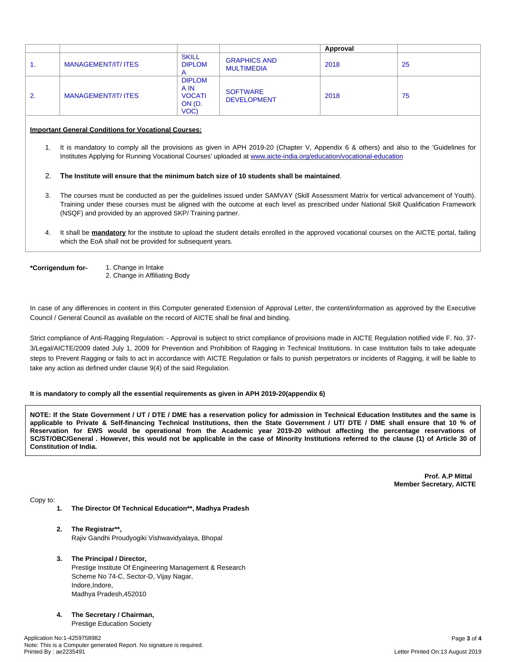|    |                            |                                                          |                                          | Approval |     |
|----|----------------------------|----------------------------------------------------------|------------------------------------------|----------|-----|
| 1. | <b>MANAGEMENT/IT/ ITES</b> | <b>SKILL</b><br><b>DIPLOM</b>                            | <b>GRAPHICS AND</b><br><b>MULTIMEDIA</b> | 2018     | -25 |
| 2. | <b>MANAGEMENT/IT/ ITES</b> | <b>DIPLOM</b><br>A IN<br><b>VOCATI</b><br>ON (D.<br>VOC) | <b>SOFTWARE</b><br><b>DEVELOPMENT</b>    | 2018     | 75  |

#### **Important General Conditions for Vocational Courses:**

1. It is mandatory to comply all the provisions as given in APH 2019-20 (Chapter V, Appendix 6 & others) and also to the 'Guidelines for Institutes Applying for Running Vocational Courses' uploaded at [www.aicte-india.org/education/vocational-education](https://www.aicte-india.org/education/vocational-education)

#### 2. **The Institute will ensure that the minimum batch size of 10 students shall be maintained**.

- 3. The courses must be conducted as per the guidelines issued under SAMVAY (Skill Assessment Matrix for vertical advancement of Youth). Training under these courses must be aligned with the outcome at each level as prescribed under National Skill Qualification Framework (NSQF) and provided by an approved SKP/ Training partner.
- 4. It shall be **mandatory** for the institute to upload the student details enrolled in the approved vocational courses on the AICTE portal, failing which the EoA shall not be provided for subsequent years.
- 

**\*Corrigendum for-** 1. Change in Intake 2. Change in Affiliating Body

In case of any differences in content in this Computer generated Extension of Approval Letter, the content/information as approved by the Executive Council / General Council as available on the record of AICTE shall be final and binding.

Strict compliance of Anti-Ragging Regulation: - Approval is subject to strict compliance of provisions made in AICTE Regulation notified vide F. No. 37- 3/Legal/AICTE/2009 dated July 1, 2009 for Prevention and Prohibition of Ragging in Technical Institutions. In case Institution fails to take adequate steps to Prevent Ragging or fails to act in accordance with AICTE Regulation or fails to punish perpetrators or incidents of Ragging, it will be liable to take any action as defined under clause 9(4) of the said Regulation.

#### **It is mandatory to comply all the essential requirements as given in APH 2019-20(appendix 6)**

NOTE: If the State Government / UT / DTE / DME has a reservation policy for admission in Technical Education Institutes and the same is applicable to Private & Self-financing Technical Institutions, then the State Government / UT/ DTE / DME shall ensure that 10 % of Reservation for EWS would be operational from the Academic year 2019-20 without affecting the percentage reservations of SC/ST/OBC/General . However, this would not be applicable in the case of Minority Institutions referred to the clause (1) of Article 30 of **Constitution of India.**

> **Prof. A.P Mittal Member Secretary, AICTE**

Copy to:

- **1. The Director Of Technical Education\*\*, Madhya Pradesh**
- **2. The Registrar\*\*,** Rajiv Gandhi Proudyogiki Vishwavidyalaya, Bhopal

#### **3. The Principal / Director,**

Prestige Institute Of Engineering Management & Research Scheme No 74-C, Sector-D, Vijay Nagar, Indore, Indore, Madhya Pradesh,452010

**4. The Secretary / Chairman,**

Prestige Education Society